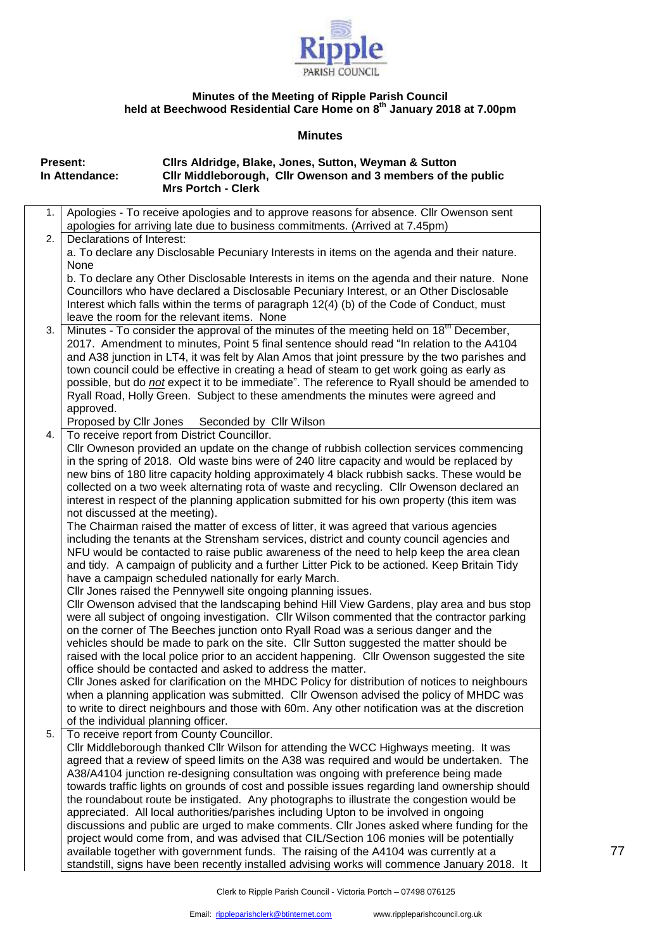

## **Minutes of the Meeting of Ripple Parish Council held at Beechwood Residential Care Home on 8th January 2018 at 7.00pm**

## **Minutes**

|    | <b>Present:</b><br>In Attendance:   | Clirs Aldridge, Blake, Jones, Sutton, Weyman & Sutton<br>Cllr Middleborough, Cllr Owenson and 3 members of the public                                                                      |
|----|-------------------------------------|--------------------------------------------------------------------------------------------------------------------------------------------------------------------------------------------|
|    |                                     | <b>Mrs Portch - Clerk</b>                                                                                                                                                                  |
| 1. |                                     | Apologies - To receive apologies and to approve reasons for absence. Cllr Owenson sent                                                                                                     |
|    |                                     | apologies for arriving late due to business commitments. (Arrived at 7.45pm)                                                                                                               |
| 2. | Declarations of Interest:           |                                                                                                                                                                                            |
|    |                                     | a. To declare any Disclosable Pecuniary Interests in items on the agenda and their nature.                                                                                                 |
|    | None                                |                                                                                                                                                                                            |
|    |                                     | b. To declare any Other Disclosable Interests in items on the agenda and their nature. None                                                                                                |
|    |                                     | Councillors who have declared a Disclosable Pecuniary Interest, or an Other Disclosable                                                                                                    |
|    |                                     | Interest which falls within the terms of paragraph 12(4) (b) of the Code of Conduct, must<br>leave the room for the relevant items. None                                                   |
| 3. |                                     | Minutes - To consider the approval of the minutes of the meeting held on 18 <sup>th</sup> December,                                                                                        |
|    |                                     | 2017. Amendment to minutes, Point 5 final sentence should read "In relation to the A4104                                                                                                   |
|    |                                     | and A38 junction in LT4, it was felt by Alan Amos that joint pressure by the two parishes and                                                                                              |
|    |                                     | town council could be effective in creating a head of steam to get work going as early as                                                                                                  |
|    |                                     | possible, but do not expect it to be immediate". The reference to Ryall should be amended to                                                                                               |
|    |                                     | Ryall Road, Holly Green. Subject to these amendments the minutes were agreed and                                                                                                           |
|    | approved.                           |                                                                                                                                                                                            |
|    | Proposed by Cllr Jones              | Seconded by Cllr Wilson                                                                                                                                                                    |
| 4. |                                     | To receive report from District Councillor.                                                                                                                                                |
|    |                                     | Cllr Owneson provided an update on the change of rubbish collection services commencing                                                                                                    |
|    |                                     | in the spring of 2018. Old waste bins were of 240 litre capacity and would be replaced by                                                                                                  |
|    |                                     | new bins of 180 litre capacity holding approximately 4 black rubbish sacks. These would be                                                                                                 |
|    |                                     | collected on a two week alternating rota of waste and recycling. Cllr Owenson declared an<br>interest in respect of the planning application submitted for his own property (this item was |
|    | not discussed at the meeting).      |                                                                                                                                                                                            |
|    |                                     | The Chairman raised the matter of excess of litter, it was agreed that various agencies                                                                                                    |
|    |                                     | including the tenants at the Strensham services, district and county council agencies and                                                                                                  |
|    |                                     | NFU would be contacted to raise public awareness of the need to help keep the area clean                                                                                                   |
|    |                                     | and tidy. A campaign of publicity and a further Litter Pick to be actioned. Keep Britain Tidy                                                                                              |
|    |                                     | have a campaign scheduled nationally for early March.                                                                                                                                      |
|    |                                     | CIIr Jones raised the Pennywell site ongoing planning issues.                                                                                                                              |
|    |                                     | CIIr Owenson advised that the landscaping behind Hill View Gardens, play area and bus stop                                                                                                 |
|    |                                     | were all subject of ongoing investigation. Cllr Wilson commented that the contractor parking                                                                                               |
|    |                                     | on the corner of The Beeches junction onto Ryall Road was a serious danger and the                                                                                                         |
|    |                                     | vehicles should be made to park on the site. Cllr Sutton suggested the matter should be                                                                                                    |
|    |                                     | raised with the local police prior to an accident happening. Cllr Owenson suggested the site                                                                                               |
|    |                                     | office should be contacted and asked to address the matter.<br>CIIr Jones asked for clarification on the MHDC Policy for distribution of notices to neighbours                             |
|    |                                     | when a planning application was submitted. Cllr Owenson advised the policy of MHDC was                                                                                                     |
|    |                                     | to write to direct neighbours and those with 60m. Any other notification was at the discretion                                                                                             |
|    | of the individual planning officer. |                                                                                                                                                                                            |
| 5. |                                     | To receive report from County Councillor.                                                                                                                                                  |
|    |                                     | CIIr Middleborough thanked CIIr Wilson for attending the WCC Highways meeting. It was                                                                                                      |
|    |                                     | agreed that a review of speed limits on the A38 was required and would be undertaken. The                                                                                                  |
|    |                                     | A38/A4104 junction re-designing consultation was ongoing with preference being made                                                                                                        |
|    |                                     | towards traffic lights on grounds of cost and possible issues regarding land ownership should                                                                                              |
|    |                                     | the roundabout route be instigated. Any photographs to illustrate the congestion would be                                                                                                  |
|    |                                     | appreciated. All local authorities/parishes including Upton to be involved in ongoing                                                                                                      |
|    |                                     | discussions and public are urged to make comments. Cllr Jones asked where funding for the                                                                                                  |
|    |                                     | project would come from, and was advised that CIL/Section 106 monies will be potentially                                                                                                   |
|    |                                     | available together with government funds. The raising of the A4104 was currently at a<br>standstill, signs have been recently installed advising works will commence January 2018. It      |
|    |                                     |                                                                                                                                                                                            |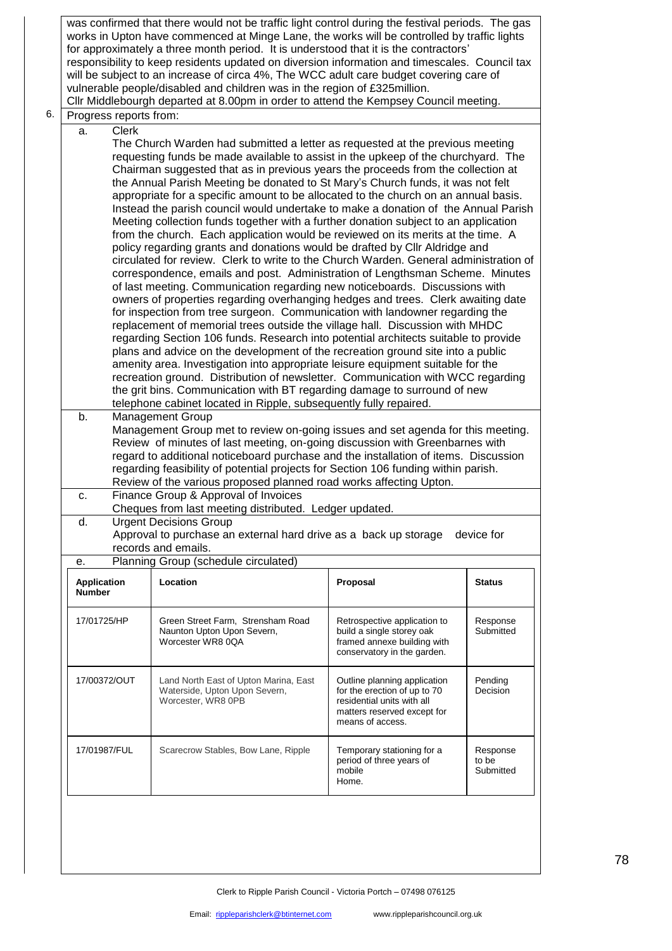was confirmed that there would not be traffic light control during the festival periods. The gas works in Upton have commenced at Minge Lane, the works will be controlled by traffic lights for approximately a three month period. It is understood that it is the contractors' responsibility to keep residents updated on diversion information and timescales. Council tax will be subject to an increase of circa 4%, The WCC adult care budget covering care of vulnerable people/disabled and children was in the region of £325million. Cllr Middlebourgh departed at 8.00pm in order to attend the Kempsey Council meeting.

## 6. Progress reports from:

a. Clerk

The Church Warden had submitted a letter as requested at the previous meeting requesting funds be made available to assist in the upkeep of the churchyard. The Chairman suggested that as in previous years the proceeds from the collection at the Annual Parish Meeting be donated to St Mary's Church funds, it was not felt appropriate for a specific amount to be allocated to the church on an annual basis. Instead the parish council would undertake to make a donation of the Annual Parish Meeting collection funds together with a further donation subject to an application from the church. Each application would be reviewed on its merits at the time. A policy regarding grants and donations would be drafted by Cllr Aldridge and circulated for review. Clerk to write to the Church Warden. General administration of correspondence, emails and post. Administration of Lengthsman Scheme. Minutes of last meeting. Communication regarding new noticeboards. Discussions with owners of properties regarding overhanging hedges and trees. Clerk awaiting date for inspection from tree surgeon. Communication with landowner regarding the replacement of memorial trees outside the village hall. Discussion with MHDC regarding Section 106 funds. Research into potential architects suitable to provide plans and advice on the development of the recreation ground site into a public amenity area. Investigation into appropriate leisure equipment suitable for the recreation ground. Distribution of newsletter. Communication with WCC regarding the grit bins. Communication with BT regarding damage to surround of new telephone cabinet located in Ripple, subsequently fully repaired.

b. Management Group Management Group met to review on-going issues and set agenda for this meeting. Review of minutes of last meeting, on-going discussion with Greenbarnes with regard to additional noticeboard purchase and the installation of items. Discussion regarding feasibility of potential projects for Section 106 funding within parish. Review of the various proposed planned road works affecting Upton.

c. Finance Group & Approval of Invoices Cheques from last meeting distributed. Ledger updated.

d. Urgent Decisions Group Approval to purchase an external hard drive as a back up storage device for records and emails.

e. Planning Group (schedule circulated)

| <b>Application</b><br><b>Number</b> | Location                                                                                     | Proposal                                                                                                                                      | <b>Status</b>                  |
|-------------------------------------|----------------------------------------------------------------------------------------------|-----------------------------------------------------------------------------------------------------------------------------------------------|--------------------------------|
| 17/01725/HP                         | Green Street Farm, Strensham Road<br>Naunton Upton Upon Severn,<br>Worcester WR8 0QA         | Retrospective application to<br>build a single storey oak<br>framed annexe building with<br>conservatory in the garden.                       | Response<br>Submitted          |
| 17/00372/OUT                        | Land North East of Upton Marina, East<br>Waterside, Upton Upon Severn,<br>Worcester, WR8 0PB | Outline planning application<br>for the erection of up to 70<br>residential units with all<br>matters reserved except for<br>means of access. | Pending<br><b>Decision</b>     |
| 17/01987/FUL                        | Scarecrow Stables, Bow Lane, Ripple                                                          | Temporary stationing for a<br>period of three years of<br>mobile<br>Home.                                                                     | Response<br>to be<br>Submitted |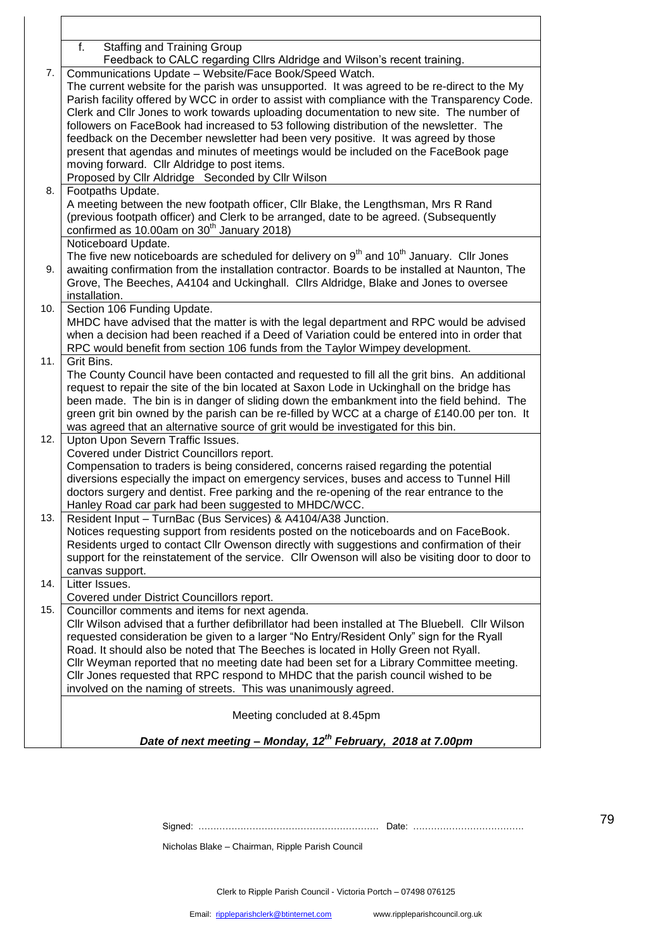| <b>Staffing and Training Group</b><br>f.<br>Feedback to CALC regarding Cllrs Aldridge and Wilson's recent training.<br>Communications Update - Website/Face Book/Speed Watch.<br>7.<br>The current website for the parish was unsupported. It was agreed to be re-direct to the My<br>Parish facility offered by WCC in order to assist with compliance with the Transparency Code.<br>Clerk and Cllr Jones to work towards uploading documentation to new site. The number of<br>followers on FaceBook had increased to 53 following distribution of the newsletter. The<br>feedback on the December newsletter had been very positive. It was agreed by those<br>present that agendas and minutes of meetings would be included on the FaceBook page<br>moving forward. Cllr Aldridge to post items.<br>Proposed by Cllr Aldridge Seconded by Cllr Wilson<br>8.<br>Footpaths Update.<br>A meeting between the new footpath officer, CIIr Blake, the Lengthsman, Mrs R Rand<br>(previous footpath officer) and Clerk to be arranged, date to be agreed. (Subsequently<br>confirmed as $10.00$ am on $30th$ January 2018)<br>Noticeboard Update.<br>The five new noticeboards are scheduled for delivery on $9th$ and $10th$ January. Cllr Jones<br>awaiting confirmation from the installation contractor. Boards to be installed at Naunton, The<br>9.<br>Grove, The Beeches, A4104 and Uckinghall. Cllrs Aldridge, Blake and Jones to oversee<br>installation.<br>Section 106 Funding Update.<br>10.<br>MHDC have advised that the matter is with the legal department and RPC would be advised<br>when a decision had been reached if a Deed of Variation could be entered into in order that<br>RPC would benefit from section 106 funds from the Taylor Wimpey development.<br>11.<br>Grit Bins.<br>The County Council have been contacted and requested to fill all the grit bins. An additional<br>request to repair the site of the bin located at Saxon Lode in Uckinghall on the bridge has<br>been made. The bin is in danger of sliding down the embankment into the field behind. The<br>green grit bin owned by the parish can be re-filled by WCC at a charge of £140.00 per ton. It<br>was agreed that an alternative source of grit would be investigated for this bin.<br>Upton Upon Severn Traffic Issues.<br>12.<br>Covered under District Councillors report.<br>Compensation to traders is being considered, concerns raised regarding the potential<br>diversions especially the impact on emergency services, buses and access to Tunnel Hill<br>doctors surgery and dentist. Free parking and the re-opening of the rear entrance to the<br>Hanley Road car park had been suggested to MHDC/WCC.<br>Resident Input - TurnBac (Bus Services) & A4104/A38 Junction.<br>13.<br>Notices requesting support from residents posted on the noticeboards and on FaceBook.<br>Residents urged to contact Cllr Owenson directly with suggestions and confirmation of their<br>support for the reinstatement of the service. Cllr Owenson will also be visiting door to door to<br>canvas support.<br>Litter Issues.<br>14.<br>Covered under District Councillors report.<br>15.<br>Councillor comments and items for next agenda.<br>CIIr Wilson advised that a further defibrillator had been installed at The Bluebell. CIIr Wilson<br>requested consideration be given to a larger "No Entry/Resident Only" sign for the Ryall<br>Road. It should also be noted that The Beeches is located in Holly Green not Ryall.<br>Cllr Weyman reported that no meeting date had been set for a Library Committee meeting.<br>CIIr Jones requested that RPC respond to MHDC that the parish council wished to be<br>involved on the naming of streets. This was unanimously agreed.<br>Meeting concluded at 8.45pm<br>Date of next meeting - Monday, 12 <sup>th</sup> February, 2018 at 7.00pm |  |
|---------------------------------------------------------------------------------------------------------------------------------------------------------------------------------------------------------------------------------------------------------------------------------------------------------------------------------------------------------------------------------------------------------------------------------------------------------------------------------------------------------------------------------------------------------------------------------------------------------------------------------------------------------------------------------------------------------------------------------------------------------------------------------------------------------------------------------------------------------------------------------------------------------------------------------------------------------------------------------------------------------------------------------------------------------------------------------------------------------------------------------------------------------------------------------------------------------------------------------------------------------------------------------------------------------------------------------------------------------------------------------------------------------------------------------------------------------------------------------------------------------------------------------------------------------------------------------------------------------------------------------------------------------------------------------------------------------------------------------------------------------------------------------------------------------------------------------------------------------------------------------------------------------------------------------------------------------------------------------------------------------------------------------------------------------------------------------------------------------------------------------------------------------------------------------------------------------------------------------------------------------------------------------------------------------------------------------------------------------------------------------------------------------------------------------------------------------------------------------------------------------------------------------------------------------------------------------------------------------------------------------------------------------------------------------------------------------------------------------------------------------------------------------------------------------------------------------------------------------------------------------------------------------------------------------------------------------------------------------------------------------------------------------------------------------------------------------------------------------------------------------------------------------------------------------------------------------------------------------------------------------------------------------------------------------------------------------------------------------------------------------------------------------------------------------------------------------------------------------------------------------------------------------------------------------------------------------------------------------------------------------------------------------------------------------------------------------------------------------------------------------------------------------------------------------------------------------------------------------------------------------------------------------|--|
|                                                                                                                                                                                                                                                                                                                                                                                                                                                                                                                                                                                                                                                                                                                                                                                                                                                                                                                                                                                                                                                                                                                                                                                                                                                                                                                                                                                                                                                                                                                                                                                                                                                                                                                                                                                                                                                                                                                                                                                                                                                                                                                                                                                                                                                                                                                                                                                                                                                                                                                                                                                                                                                                                                                                                                                                                                                                                                                                                                                                                                                                                                                                                                                                                                                                                                                                                                                                                                                                                                                                                                                                                                                                                                                                                                                                                                                                                                         |  |
|                                                                                                                                                                                                                                                                                                                                                                                                                                                                                                                                                                                                                                                                                                                                                                                                                                                                                                                                                                                                                                                                                                                                                                                                                                                                                                                                                                                                                                                                                                                                                                                                                                                                                                                                                                                                                                                                                                                                                                                                                                                                                                                                                                                                                                                                                                                                                                                                                                                                                                                                                                                                                                                                                                                                                                                                                                                                                                                                                                                                                                                                                                                                                                                                                                                                                                                                                                                                                                                                                                                                                                                                                                                                                                                                                                                                                                                                                                         |  |
|                                                                                                                                                                                                                                                                                                                                                                                                                                                                                                                                                                                                                                                                                                                                                                                                                                                                                                                                                                                                                                                                                                                                                                                                                                                                                                                                                                                                                                                                                                                                                                                                                                                                                                                                                                                                                                                                                                                                                                                                                                                                                                                                                                                                                                                                                                                                                                                                                                                                                                                                                                                                                                                                                                                                                                                                                                                                                                                                                                                                                                                                                                                                                                                                                                                                                                                                                                                                                                                                                                                                                                                                                                                                                                                                                                                                                                                                                                         |  |
|                                                                                                                                                                                                                                                                                                                                                                                                                                                                                                                                                                                                                                                                                                                                                                                                                                                                                                                                                                                                                                                                                                                                                                                                                                                                                                                                                                                                                                                                                                                                                                                                                                                                                                                                                                                                                                                                                                                                                                                                                                                                                                                                                                                                                                                                                                                                                                                                                                                                                                                                                                                                                                                                                                                                                                                                                                                                                                                                                                                                                                                                                                                                                                                                                                                                                                                                                                                                                                                                                                                                                                                                                                                                                                                                                                                                                                                                                                         |  |
|                                                                                                                                                                                                                                                                                                                                                                                                                                                                                                                                                                                                                                                                                                                                                                                                                                                                                                                                                                                                                                                                                                                                                                                                                                                                                                                                                                                                                                                                                                                                                                                                                                                                                                                                                                                                                                                                                                                                                                                                                                                                                                                                                                                                                                                                                                                                                                                                                                                                                                                                                                                                                                                                                                                                                                                                                                                                                                                                                                                                                                                                                                                                                                                                                                                                                                                                                                                                                                                                                                                                                                                                                                                                                                                                                                                                                                                                                                         |  |
|                                                                                                                                                                                                                                                                                                                                                                                                                                                                                                                                                                                                                                                                                                                                                                                                                                                                                                                                                                                                                                                                                                                                                                                                                                                                                                                                                                                                                                                                                                                                                                                                                                                                                                                                                                                                                                                                                                                                                                                                                                                                                                                                                                                                                                                                                                                                                                                                                                                                                                                                                                                                                                                                                                                                                                                                                                                                                                                                                                                                                                                                                                                                                                                                                                                                                                                                                                                                                                                                                                                                                                                                                                                                                                                                                                                                                                                                                                         |  |
|                                                                                                                                                                                                                                                                                                                                                                                                                                                                                                                                                                                                                                                                                                                                                                                                                                                                                                                                                                                                                                                                                                                                                                                                                                                                                                                                                                                                                                                                                                                                                                                                                                                                                                                                                                                                                                                                                                                                                                                                                                                                                                                                                                                                                                                                                                                                                                                                                                                                                                                                                                                                                                                                                                                                                                                                                                                                                                                                                                                                                                                                                                                                                                                                                                                                                                                                                                                                                                                                                                                                                                                                                                                                                                                                                                                                                                                                                                         |  |
|                                                                                                                                                                                                                                                                                                                                                                                                                                                                                                                                                                                                                                                                                                                                                                                                                                                                                                                                                                                                                                                                                                                                                                                                                                                                                                                                                                                                                                                                                                                                                                                                                                                                                                                                                                                                                                                                                                                                                                                                                                                                                                                                                                                                                                                                                                                                                                                                                                                                                                                                                                                                                                                                                                                                                                                                                                                                                                                                                                                                                                                                                                                                                                                                                                                                                                                                                                                                                                                                                                                                                                                                                                                                                                                                                                                                                                                                                                         |  |
|                                                                                                                                                                                                                                                                                                                                                                                                                                                                                                                                                                                                                                                                                                                                                                                                                                                                                                                                                                                                                                                                                                                                                                                                                                                                                                                                                                                                                                                                                                                                                                                                                                                                                                                                                                                                                                                                                                                                                                                                                                                                                                                                                                                                                                                                                                                                                                                                                                                                                                                                                                                                                                                                                                                                                                                                                                                                                                                                                                                                                                                                                                                                                                                                                                                                                                                                                                                                                                                                                                                                                                                                                                                                                                                                                                                                                                                                                                         |  |
|                                                                                                                                                                                                                                                                                                                                                                                                                                                                                                                                                                                                                                                                                                                                                                                                                                                                                                                                                                                                                                                                                                                                                                                                                                                                                                                                                                                                                                                                                                                                                                                                                                                                                                                                                                                                                                                                                                                                                                                                                                                                                                                                                                                                                                                                                                                                                                                                                                                                                                                                                                                                                                                                                                                                                                                                                                                                                                                                                                                                                                                                                                                                                                                                                                                                                                                                                                                                                                                                                                                                                                                                                                                                                                                                                                                                                                                                                                         |  |
|                                                                                                                                                                                                                                                                                                                                                                                                                                                                                                                                                                                                                                                                                                                                                                                                                                                                                                                                                                                                                                                                                                                                                                                                                                                                                                                                                                                                                                                                                                                                                                                                                                                                                                                                                                                                                                                                                                                                                                                                                                                                                                                                                                                                                                                                                                                                                                                                                                                                                                                                                                                                                                                                                                                                                                                                                                                                                                                                                                                                                                                                                                                                                                                                                                                                                                                                                                                                                                                                                                                                                                                                                                                                                                                                                                                                                                                                                                         |  |
|                                                                                                                                                                                                                                                                                                                                                                                                                                                                                                                                                                                                                                                                                                                                                                                                                                                                                                                                                                                                                                                                                                                                                                                                                                                                                                                                                                                                                                                                                                                                                                                                                                                                                                                                                                                                                                                                                                                                                                                                                                                                                                                                                                                                                                                                                                                                                                                                                                                                                                                                                                                                                                                                                                                                                                                                                                                                                                                                                                                                                                                                                                                                                                                                                                                                                                                                                                                                                                                                                                                                                                                                                                                                                                                                                                                                                                                                                                         |  |
|                                                                                                                                                                                                                                                                                                                                                                                                                                                                                                                                                                                                                                                                                                                                                                                                                                                                                                                                                                                                                                                                                                                                                                                                                                                                                                                                                                                                                                                                                                                                                                                                                                                                                                                                                                                                                                                                                                                                                                                                                                                                                                                                                                                                                                                                                                                                                                                                                                                                                                                                                                                                                                                                                                                                                                                                                                                                                                                                                                                                                                                                                                                                                                                                                                                                                                                                                                                                                                                                                                                                                                                                                                                                                                                                                                                                                                                                                                         |  |
|                                                                                                                                                                                                                                                                                                                                                                                                                                                                                                                                                                                                                                                                                                                                                                                                                                                                                                                                                                                                                                                                                                                                                                                                                                                                                                                                                                                                                                                                                                                                                                                                                                                                                                                                                                                                                                                                                                                                                                                                                                                                                                                                                                                                                                                                                                                                                                                                                                                                                                                                                                                                                                                                                                                                                                                                                                                                                                                                                                                                                                                                                                                                                                                                                                                                                                                                                                                                                                                                                                                                                                                                                                                                                                                                                                                                                                                                                                         |  |
|                                                                                                                                                                                                                                                                                                                                                                                                                                                                                                                                                                                                                                                                                                                                                                                                                                                                                                                                                                                                                                                                                                                                                                                                                                                                                                                                                                                                                                                                                                                                                                                                                                                                                                                                                                                                                                                                                                                                                                                                                                                                                                                                                                                                                                                                                                                                                                                                                                                                                                                                                                                                                                                                                                                                                                                                                                                                                                                                                                                                                                                                                                                                                                                                                                                                                                                                                                                                                                                                                                                                                                                                                                                                                                                                                                                                                                                                                                         |  |

Signed: …………………………………………………… Date: ……………………………….

Nicholas Blake – Chairman, Ripple Parish Council